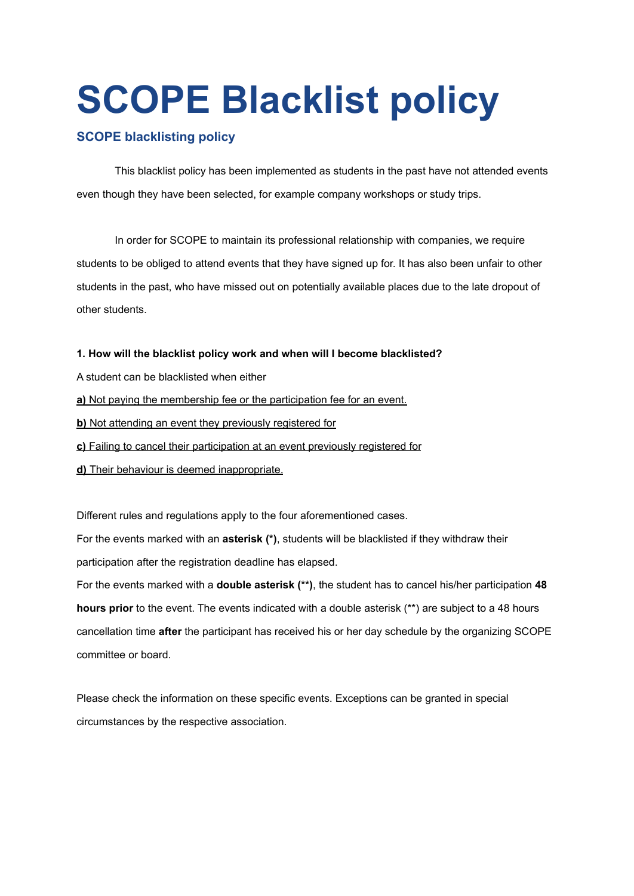# **SCOPE Blacklist policy**

# **SCOPE blacklisting policy**

This blacklist policy has been implemented as students in the past have not attended events even though they have been selected, for example company workshops or study trips.

In order for SCOPE to maintain its professional relationship with companies, we require students to be obliged to attend events that they have signed up for. It has also been unfair to other students in the past, who have missed out on potentially available places due to the late dropout of other students.

### **1. How will the blacklist policy work and when will I become blacklisted?**

- A student can be blacklisted when either
- **a)** Not paying the membership fee or the participation fee for an event.
- **b)** Not attending an event they previously registered for
- **c)** Failing to cancel their participation at an event previously registered for
- **d)** Their behaviour is deemed inappropriate.

Different rules and regulations apply to the four aforementioned cases.

For the events marked with an **asterisk (\*)**, students will be blacklisted if they withdraw their participation after the registration deadline has elapsed.

For the events marked with a **double asterisk (\*\*)**, the student has to cancel his/her participation **48 hours prior** to the event. The events indicated with a double asterisk (\*\*) are subject to a 48 hours cancellation time **after** the participant has received his or her day schedule by the organizing SCOPE committee or board.

Please check the information on these specific events. Exceptions can be granted in special circumstances by the respective association.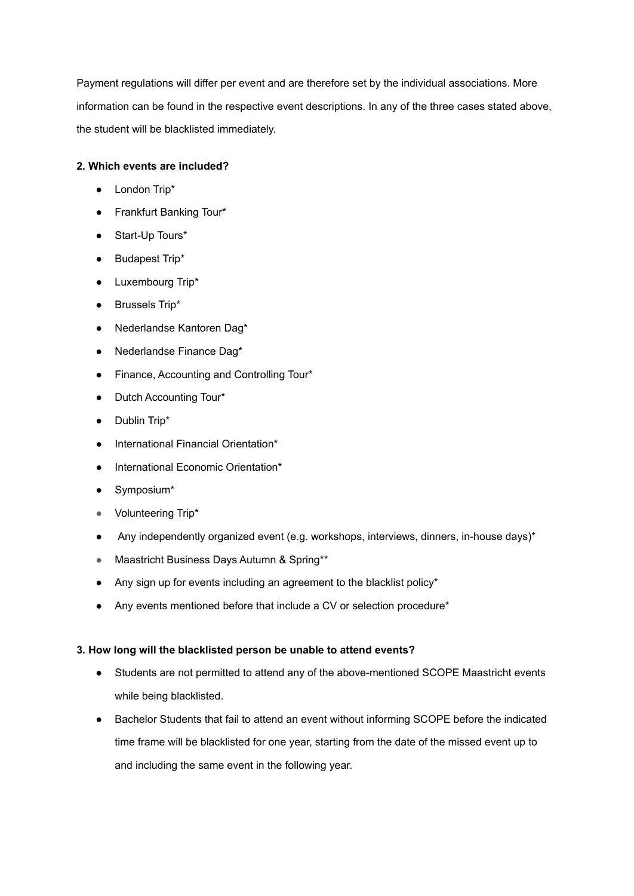Payment regulations will differ per event and are therefore set by the individual associations. More information can be found in the respective event descriptions. In any of the three cases stated above, the student will be blacklisted immediately.

## **2. Which events are included?**

- London Trip\*
- Frankfurt Banking Tour\*
- Start-Up Tours\*
- Budapest Trip\*
- Luxembourg Trip\*
- Brussels Trip\*
- Nederlandse Kantoren Dag\*
- Nederlandse Finance Dag\*
- Finance, Accounting and Controlling Tour\*
- Dutch Accounting Tour\*
- Dublin Trip\*
- International Financial Orientation\*
- International Economic Orientation\*
- Symposium\*
- Volunteering Trip\*
- Any independently organized event (e.g. workshops, interviews, dinners, in-house days)\*
- Maastricht Business Days Autumn & Spring\*\*
- Any sign up for events including an agreement to the blacklist policy\*
- Any events mentioned before that include a CV or selection procedure\*

#### **3. How long will the blacklisted person be unable to attend events?**

- Students are not permitted to attend any of the above-mentioned SCOPE Maastricht events while being blacklisted.
- Bachelor Students that fail to attend an event without informing SCOPE before the indicated time frame will be blacklisted for one year, starting from the date of the missed event up to and including the same event in the following year.